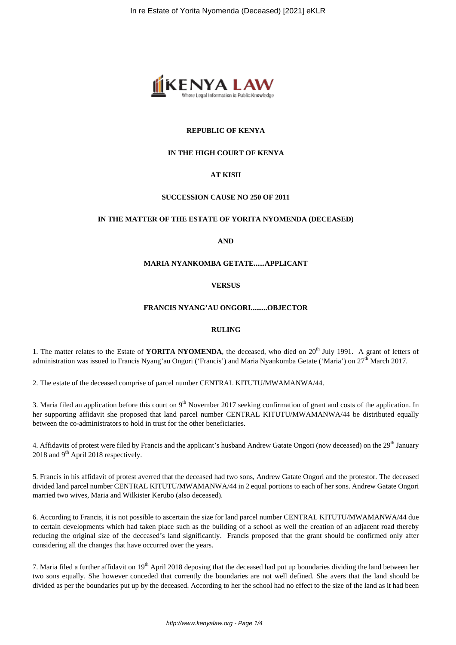

## **REPUBLIC OF KENYA**

## **IN THE HIGH COURT OF KENYA**

## **AT KISII**

#### **SUCCESSION CAUSE NO 250 OF 2011**

#### **IN THE MATTER OF THE ESTATE OF YORITA NYOMENDA (DECEASED)**

**AND**

## **MARIA NYANKOMBA GETATE......APPLICANT**

**VERSUS**

### **FRANCIS NYANG'AU ONGORI.........OBJECTOR**

#### **RULING**

1. The matter relates to the Estate of YORITA NYOMENDA, the deceased, who died on 20<sup>th</sup> July 1991. A grant of letters of administration was issued to Francis Nyang'au Ongori ('Francis') and Maria Nyankomba Getate ('Maria') on  $27<sup>th</sup>$  March 2017.

2. The estate of the deceased comprise of parcel number CENTRAL KITUTU/MWAMANWA/44.

3. Maria filed an application before this court on  $9<sup>th</sup>$  November 2017 seeking confirmation of grant and costs of the application. In her supporting affidavit she proposed that land parcel number CENTRAL KITUTU/MWAMANWA/44 be distributed equally between the co-administrators to hold in trust for the other beneficiaries.

4. Affidavits of protest were filed by Francis and the applicant's husband Andrew Gatate Ongori (now deceased) on the 29<sup>th</sup> January 2018 and  $9<sup>th</sup>$  April 2018 respectively.

5. Francis in his affidavit of protest averred that the deceased had two sons, Andrew Gatate Ongori and the protestor. The deceased divided land parcel number CENTRAL KITUTU/MWAMANWA/44 in 2 equal portions to each of her sons. Andrew Gatate Ongori married two wives, Maria and Wilkister Kerubo (also deceased).

6. According to Francis, it is not possible to ascertain the size for land parcel number CENTRAL KITUTU/MWAMANWA/44 due to certain developments which had taken place such as the building of a school as well the creation of an adjacent road thereby reducing the original size of the deceased's land significantly. Francis proposed that the grant should be confirmed only after considering all the changes that have occurred over the years.

7. Maria filed a further affidavit on  $19<sup>th</sup>$  April 2018 deposing that the deceased had put up boundaries dividing the land between her two sons equally. She however conceded that currently the boundaries are not well defined. She avers that the land should be divided as per the boundaries put up by the deceased. According to her the school had no effect to the size of the land as it had been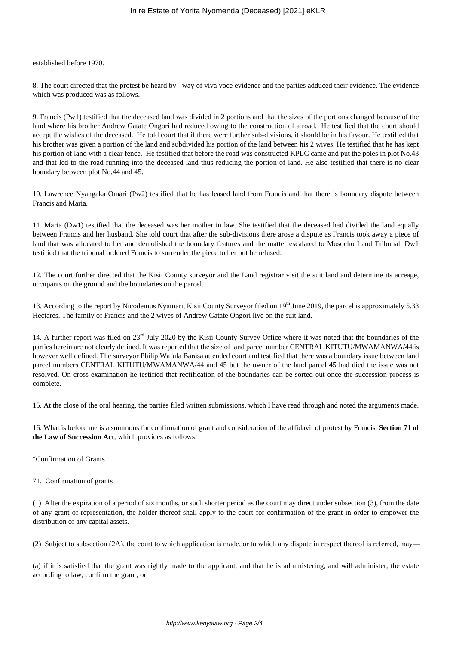established before 1970.

8. The court directed that the protest be heard by way of viva voce evidence and the parties adduced their evidence. The evidence which was produced was as follows.

9. Francis (Pw1) testified that the deceased land was divided in 2 portions and that the sizes of the portions changed because of the land where his brother Andrew Gatate Ongori had reduced owing to the construction of a road. He testified that the court should accept the wishes of the deceased. He told court that if there were further sub-divisions, it should be in his favour. He testified that his brother was given a portion of the land and subdivided his portion of the land between his 2 wives. He testified that he has kept his portion of land with a clear fence. He testified that before the road was constructed KPLC came and put the poles in plot No.43 and that led to the road running into the deceased land thus reducing the portion of land. He also testified that there is no clear boundary between plot No.44 and 45.

10. Lawrence Nyangaka Omari (Pw2) testified that he has leased land from Francis and that there is boundary dispute between Francis and Maria.

11. Maria (Dw1) testified that the deceased was her mother in law. She testified that the deceased had divided the land equally between Francis and her husband. She told court that after the sub-divisions there arose a dispute as Francis took away a piece of land that was allocated to her and demolished the boundary features and the matter escalated to Mosocho Land Tribunal. Dw1 testified that the tribunal ordered Francis to surrender the piece to her but he refused.

12. The court further directed that the Kisii County surveyor and the Land registrar visit the suit land and determine its acreage, occupants on the ground and the boundaries on the parcel.

13. According to the report by Nicodemus Nyamari, Kisii County Surveyor filed on 19<sup>th</sup> June 2019, the parcel is approximately 5.33 Hectares. The family of Francis and the 2 wives of Andrew Gatate Ongori live on the suit land.

14. A further report was filed on 23<sup>rd</sup> July 2020 by the Kisii County Survey Office where it was noted that the boundaries of the parties herein are not clearly defined. It was reported that the size of land parcel number CENTRAL KITUTU/MWAMANWA/44 is however well defined. The surveyor Philip Wafula Barasa attended court and testified that there was a boundary issue between land parcel numbers CENTRAL KITUTU/MWAMANWA/44 and 45 but the owner of the land parcel 45 had died the issue was not resolved. On cross examination he testified that rectification of the boundaries can be sorted out once the succession process is complete.

15. At the close of the oral hearing, the parties filed written submissions, which I have read through and noted the arguments made.

16. What is before me is a summons for confirmation of grant and consideration of the affidavit of protest by Francis. **Section 71 of the Law of Succession Act**, which provides as follows:

"Confirmation of Grants

71. Confirmation of grants

(1) After the expiration of a period of six months, or such shorter period as the court may direct under subsection (3), from the date of any grant of representation, the holder thereof shall apply to the court for confirmation of the grant in order to empower the distribution of any capital assets.

(2) Subject to subsection (2A), the court to which application is made, or to which any dispute in respect thereof is referred, may—

(a) if it is satisfied that the grant was rightly made to the applicant, and that he is administering, and will administer, the estate according to law, confirm the grant; or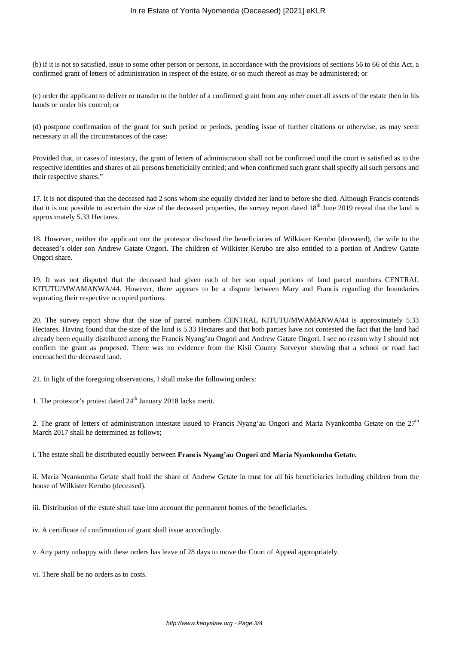(b) if it is not so satisfied, issue to some other person or persons, in accordance with the provisions of sections 56 to 66 of this Act, a confirmed grant of letters of administration in respect of the estate, or so much thereof as may be administered; or

(c) order the applicant to deliver or transfer to the holder of a confirmed grant from any other court all assets of the estate then in his hands or under his control; or

(d) postpone confirmation of the grant for such period or periods, pending issue of further citations or otherwise, as may seem necessary in all the circumstances of the case:

Provided that, in cases of intestacy, the grant of letters of administration shall not be confirmed until the court is satisfied as to the respective identities and shares of all persons beneficially entitled; and when confirmed such grant shall specify all such persons and their respective shares."

17. It is not disputed that the deceased had 2 sons whom she equally divided her land to before she died. Although Francis contends that it is not possible to ascertain the size of the deceased properties, the survey report dated 18<sup>th</sup> June 2019 reveal that the land is approximately 5.33 Hectares.

18. However, neither the applicant nor the protestor disclosed the beneficiaries of Wilkister Kerubo (deceased), the wife to the deceased's older son Andrew Gatate Ongori. The children of Wilkister Kerubo are also entitled to a portion of Andrew Gatate Ongori share.

19. It was not disputed that the deceased had given each of her son equal portions of land parcel numbers CENTRAL KITUTU/MWAMANWA/44. However, there appears to be a dispute between Mary and Francis regarding the boundaries separating their respective occupied portions.

20. The survey report show that the size of parcel numbers CENTRAL KITUTU/MWAMANWA/44 is approximately 5.33 Hectares. Having found that the size of the land is 5.33 Hectares and that both parties have not contested the fact that the land had already been equally distributed among the Francis Nyang'au Ongori and Andrew Gatate Ongori, I see no reason why I should not confirm the grant as proposed. There was no evidence from the Kisii County Surveyor showing that a school or road had encroached the deceased land.

21. In light of the foregoing observations, I shall make the following orders:

1. The protestor's protest dated  $24<sup>th</sup>$  January 2018 lacks merit.

2. The grant of letters of administration intestate issued to Francis Nyang'au Ongori and Maria Nyankomba Getate on the  $27<sup>th</sup>$ March 2017 shall be determined as follows;

i. The estate shall be distributed equally between **Francis Nyang'au Ongori** and **Maria Nyankomba Getate.** 

ii. Maria Nyankomba Getate shall hold the share of Andrew Getate in trust for all his beneficiaries including children from the house of Wilkister Kerubo (deceased).

iii. Distribution of the estate shall take into account the permanent homes of the beneficiaries.

iv. A certificate of confirmation of grant shall issue accordingly.

v. Any party unhappy with these orders has leave of 28 days to move the Court of Appeal appropriately.

vi. There shall be no orders as to costs.